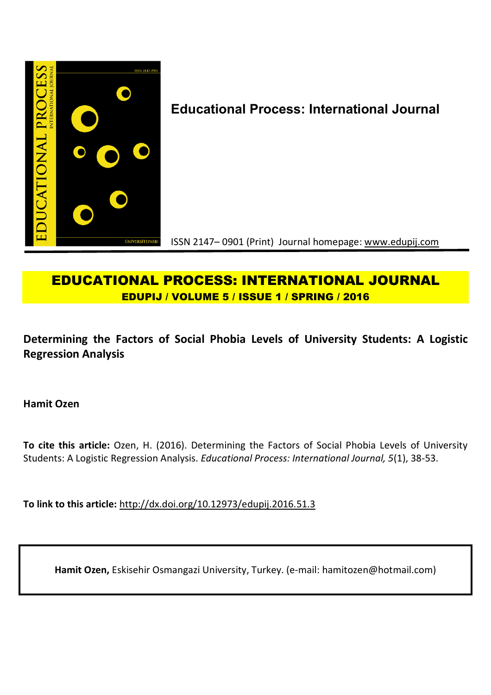

# **Educational Process: International Journal**

ISSN 2147– 0901 (Print) Journal homepage: www.edupij.com

# **EDUCATIONAL PROCESS: INTERNATIONAL JOURNAL EDUPIJ / VOLUME 5 / ISSUE 1 / SPRING / 2016**

**Determining the Factors of Social Phobia Levels of University Students: A Logistic Regression Analysis**

**Hamit Ozen**

**To cite this article:** Ozen, H. (2016). Determining the Factors of Social Phobia Levels of University Students: A Logistic Regression Analysis. *Educational Process: International Journal, 5*(1), 38-53.

**To link to this article:** http://dx.doi.org/10.12973/edupij.2016.51.3

**Hamit Ozen,** Eskisehir Osmangazi University, Turkey. (e-mail: hamitozen@hotmail.com)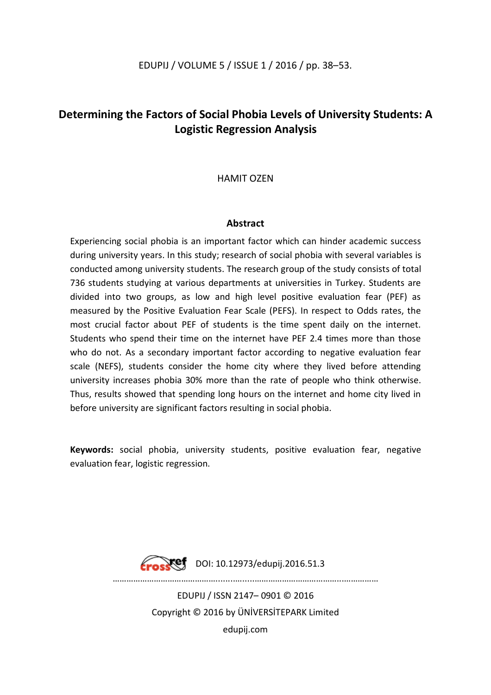# **Determining the Factors of Social Phobia Levels of University Students: A Logistic Regression Analysis**

HAMIT OZEN

# **Abstract**

Experiencing social phobia is an important factor which can hinder academic success during university years. In this study; research of social phobia with several variables is conducted among university students. The research group of the study consists of total 736 students studying at various departments at universities in Turkey. Students are divided into two groups, as low and high level positive evaluation fear (PEF) as measured by the Positive Evaluation Fear Scale (PEFS). In respect to Odds rates, the most crucial factor about PEF of students is the time spent daily on the internet. Students who spend their time on the internet have PEF 2.4 times more than those who do not. As a secondary important factor according to negative evaluation fear scale (NEFS), students consider the home city where they lived before attending university increases phobia 30% more than the rate of people who think otherwise. Thus, results showed that spending long hours on the internet and home city lived in before university are significant factors resulting in social phobia.

**Keywords:** social phobia, university students, positive evaluation fear, negative evaluation fear, logistic regression.



**Erosset** DOI: 10.12973/edupij.2016.51.3

………………………………………........….....………………………………...……………

EDUPIJ / ISSN 2147– 0901 © 2016 Copyright © 2016 by ÜNİVERSİTEPARK Limited edupij.com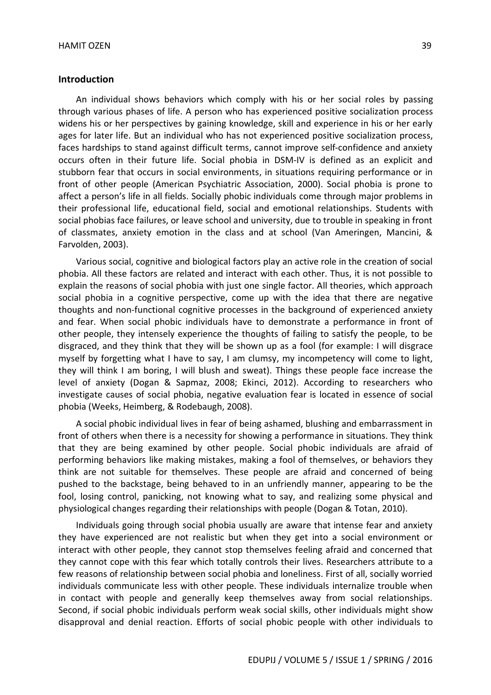#### **Introduction**

An individual shows behaviors which comply with his or her social roles by passing through various phases of life. A person who has experienced positive socialization process widens his or her perspectives by gaining knowledge, skill and experience in his or her early ages for later life. But an individual who has not experienced positive socialization process, faces hardships to stand against difficult terms, cannot improve self-confidence and anxiety occurs often in their future life. Social phobia in DSM-IV is defined as an explicit and stubborn fear that occurs in social environments, in situations requiring performance or in front of other people (American Psychiatric Association, 2000). Social phobia is prone to affect a person's life in all fields. Socially phobic individuals come through major problems in their professional life, educational field, social and emotional relationships. Students with social phobias face failures, or leave school and university, due to trouble in speaking in front of classmates, anxiety emotion in the class and at school (Van Ameringen, Mancini, & Farvolden, 2003).

Various social, cognitive and biological factors play an active role in the creation of social phobia. All these factors are related and interact with each other. Thus, it is not possible to explain the reasons of social phobia with just one single factor. All theories, which approach social phobia in a cognitive perspective, come up with the idea that there are negative thoughts and non-functional cognitive processes in the background of experienced anxiety and fear. When social phobic individuals have to demonstrate a performance in front of other people, they intensely experience the thoughts of failing to satisfy the people, to be disgraced, and they think that they will be shown up as a fool (for example: I will disgrace myself by forgetting what I have to say, I am clumsy, my incompetency will come to light, they will think I am boring, I will blush and sweat). Things these people face increase the level of anxiety (Dogan & Sapmaz, 2008; Ekinci, 2012). According to researchers who investigate causes of social phobia, negative evaluation fear is located in essence of social phobia (Weeks, Heimberg, & Rodebaugh, 2008).

A social phobic individual lives in fear of being ashamed, blushing and embarrassment in front of others when there is a necessity for showing a performance in situations. They think that they are being examined by other people. Social phobic individuals are afraid of performing behaviors like making mistakes, making a fool of themselves, or behaviors they think are not suitable for themselves. These people are afraid and concerned of being pushed to the backstage, being behaved to in an unfriendly manner, appearing to be the fool, losing control, panicking, not knowing what to say, and realizing some physical and physiological changes regarding their relationships with people (Dogan & Totan, 2010).

Individuals going through social phobia usually are aware that intense fear and anxiety they have experienced are not realistic but when they get into a social environment or interact with other people, they cannot stop themselves feeling afraid and concerned that they cannot cope with this fear which totally controls their lives. Researchers attribute to a few reasons of relationship between social phobia and loneliness. First of all, socially worried individuals communicate less with other people. These individuals internalize trouble when in contact with people and generally keep themselves away from social relationships. Second, if social phobic individuals perform weak social skills, other individuals might show disapproval and denial reaction. Efforts of social phobic people with other individuals to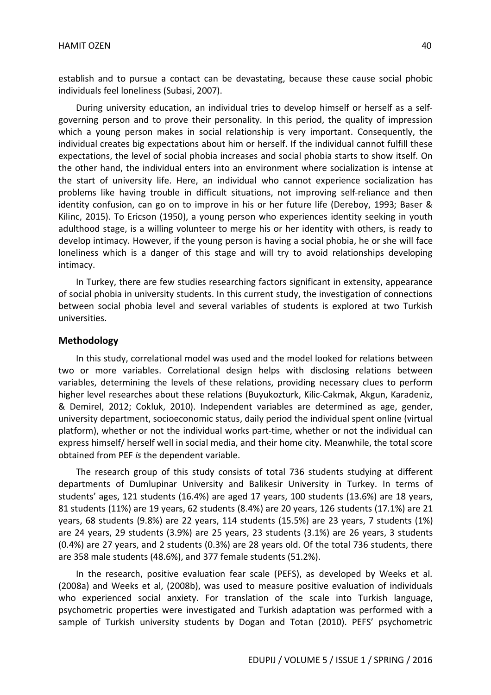establish and to pursue a contact can be devastating, because these cause social phobic individuals feel loneliness (Subasi, 2007).

During university education, an individual tries to develop himself or herself as a selfgoverning person and to prove their personality. In this period, the quality of impression which a young person makes in social relationship is very important. Consequently, the individual creates big expectations about him or herself. If the individual cannot fulfill these expectations, the level of social phobia increases and social phobia starts to show itself. On the other hand, the individual enters into an environment where socialization is intense at the start of university life. Here, an individual who cannot experience socialization has problems like having trouble in difficult situations, not improving self-reliance and then identity confusion, can go on to improve in his or her future life (Dereboy, 1993; Baser & Kilinc, 2015). To Ericson (1950), a young person who experiences identity seeking in youth adulthood stage, is a willing volunteer to merge his or her identity with others, is ready to develop intimacy. However, if the young person is having a social phobia, he or she will face loneliness which is a danger of this stage and will try to avoid relationships developing intimacy.

In Turkey, there are few studies researching factors significant in extensity, appearance of social phobia in university students. In this current study, the investigation of connections between social phobia level and several variables of students is explored at two Turkish universities.

### **Methodology**

In this study, correlational model was used and the model looked for relations between two or more variables. Correlational design helps with disclosing relations between variables, determining the levels of these relations, providing necessary clues to perform higher level researches about these relations (Buyukozturk, Kilic-Cakmak, Akgun, Karadeniz, & Demirel, 2012; Cokluk, 2010). Independent variables are determined as age, gender, university department, socioeconomic status, daily period the individual spent online (virtual platform), whether or not the individual works part-time, whether or not the individual can express himself/ herself well in social media, and their home city. Meanwhile, the total score obtained from PEF *is* the dependent variable.

The research group of this study consists of total 736 students studying at different departments of Dumlupinar University and Balikesir University in Turkey. In terms of students' ages, 121 students (16.4%) are aged 17 years, 100 students (13.6%) are 18 years, 81 students (11%) are 19 years, 62 students (8.4%) are 20 years, 126 students (17.1%) are 21 years, 68 students (9.8%) are 22 years, 114 students (15.5%) are 23 years, 7 students (1%) are 24 years, 29 students (3.9%) are 25 years, 23 students (3.1%) are 26 years, 3 students (0.4%) are 27 years, and 2 students (0.3%) are 28 years old. Of the total 736 students, there are 358 male students (48.6%), and 377 female students (51.2%).

In the research, positive evaluation fear scale (PEFS), as developed by Weeks et al. (2008a) and Weeks et al, (2008b), was used to measure positive evaluation of individuals who experienced social anxiety. For translation of the scale into Turkish language, psychometric properties were investigated and Turkish adaptation was performed with a sample of Turkish university students by Dogan and Totan (2010). PEFS' psychometric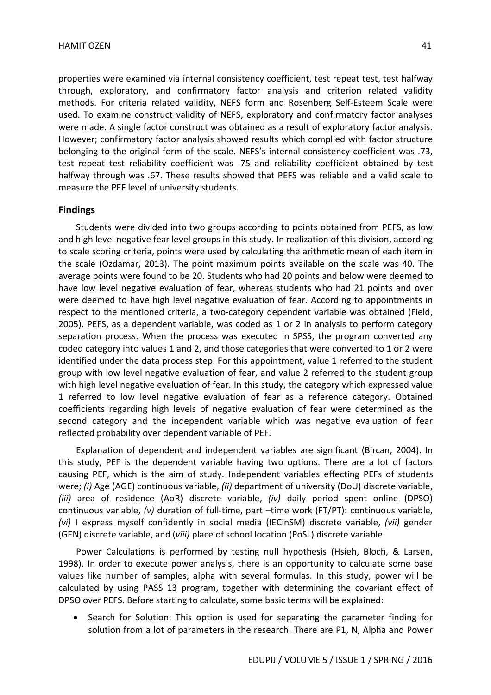properties were examined via internal consistency coefficient, test repeat test, test halfway through, exploratory, and confirmatory factor analysis and criterion related validity methods. For criteria related validity, NEFS form and Rosenberg Self-Esteem Scale were used. To examine construct validity of NEFS, exploratory and confirmatory factor analyses were made. A single factor construct was obtained as a result of exploratory factor analysis. However; confirmatory factor analysis showed results which complied with factor structure belonging to the original form of the scale. NEFS's internal consistency coefficient was .73, test repeat test reliability coefficient was .75 and reliability coefficient obtained by test halfway through was .67. These results showed that PEFS was reliable and a valid scale to measure the PEF level of university students.

#### **Findings**

Students were divided into two groups according to points obtained from PEFS, as low and high level negative fear level groups in this study. In realization of this division, according to scale scoring criteria, points were used by calculating the arithmetic mean of each item in the scale (Ozdamar, 2013). The point maximum points available on the scale was 40. The average points were found to be 20. Students who had 20 points and below were deemed to have low level negative evaluation of fear, whereas students who had 21 points and over were deemed to have high level negative evaluation of fear. According to appointments in respect to the mentioned criteria, a two-category dependent variable was obtained (Field, 2005). PEFS, as a dependent variable, was coded as 1 or 2 in analysis to perform category separation process. When the process was executed in SPSS, the program converted any coded category into values 1 and 2, and those categories that were converted to 1 or 2 were identified under the data process step. For this appointment, value 1 referred to the student group with low level negative evaluation of fear, and value 2 referred to the student group with high level negative evaluation of fear. In this study, the category which expressed value 1 referred to low level negative evaluation of fear as a reference category. Obtained coefficients regarding high levels of negative evaluation of fear were determined as the second category and the independent variable which was negative evaluation of fear reflected probability over dependent variable of PEF.

Explanation of dependent and independent variables are significant (Bircan, 2004). In this study, PEF is the dependent variable having two options. There are a lot of factors causing PEF, which is the aim of study. Independent variables effecting PEFs of students were; *(i)* Age (AGE) continuous variable, *(ii)* department of university (DoU) discrete variable, *(iii)* area of residence (AoR) discrete variable, *(iv)* daily period spent online (DPSO) continuous variable, *(v)* duration of full-time, part –time work (FT/PT): continuous variable, *(vi)* I express myself confidently in social media (IECinSM) discrete variable, *(vii)* gender (GEN) discrete variable, and (*viii)* place of school location (PoSL) discrete variable.

Power Calculations is performed by testing null hypothesis (Hsieh, Bloch, & Larsen, 1998). In order to execute power analysis, there is an opportunity to calculate some base values like number of samples, alpha with several formulas. In this study, power will be calculated by using PASS 13 program, together with determining the covariant effect of DPSO over PEFS. Before starting to calculate, some basic terms will be explained:

• Search for Solution: This option is used for separating the parameter finding for solution from a lot of parameters in the research. There are P1, N, Alpha and Power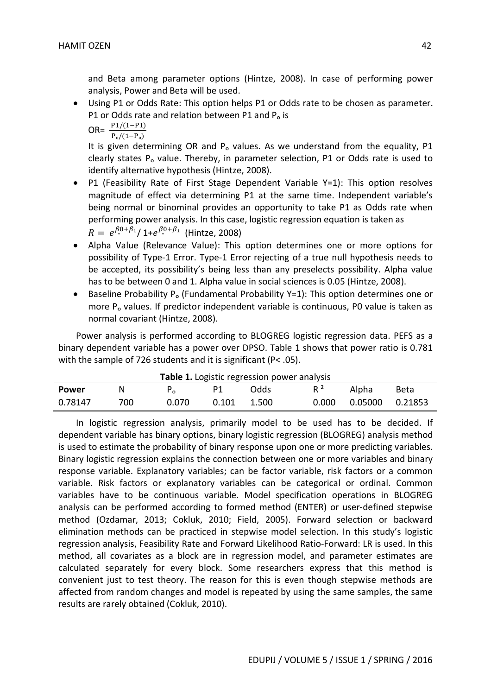and Beta among parameter options (Hintze, 2008). In case of performing power analysis, Power and Beta will be used.

 Using P1 or Odds Rate: This option helps P1 or Odds rate to be chosen as parameter. P1 or Odds rate and relation between P1 and P<sub>o</sub> is

OR=  $\frac{P_1/(1-P_1)}{P_0/(1-P_0)}$ 

It is given determining OR and P<sub>o</sub> values. As we understand from the equality, P1 clearly states P<sub>o</sub> value. Thereby, in parameter selection, P1 or Odds rate is used to identify alternative hypothesis (Hintze, 2008).

- P1 (Feasibility Rate of First Stage Dependent Variable Y=1): This option resolves magnitude of effect via determining P1 at the same time. Independent variable's being normal or binominal provides an opportunity to take P1 as Odds rate when performing power analysis. In this case, logistic regression equation is taken as  $R = e^{\beta_{\rm e}^0 + \beta_1}/1 + e^{\beta_{\rm e}^0 + \beta_1}$  (Hintze, 2008)
- Alpha Value (Relevance Value): This option determines one or more options for possibility of Type-1 Error. Type-1 Error rejecting of a true null hypothesis needs to be accepted, its possibility's being less than any preselects possibility. Alpha value has to be between 0 and 1. Alpha value in social sciences is 0.05 (Hintze, 2008).
- Baseline Probability P<sub>o</sub> (Fundamental Probability Y=1): This option determines one or more P<sub>o</sub> values. If predictor independent variable is continuous, P0 value is taken as normal covariant (Hintze, 2008).

Power analysis is performed according to BLOGREG logistic regression data. PEFS as a binary dependent variable has a power over DPSO. Table 1 shows that power ratio is 0.781 with the sample of 726 students and it is significant (P< .05).

| Table 1. Logistic regression power analysis |     |       |       |       |       |                   |      |
|---------------------------------------------|-----|-------|-------|-------|-------|-------------------|------|
| Power                                       |     |       | P1.   | Odds  | $R^2$ | Alpha             | Beta |
| 0.78147                                     | 700 | 0.070 | 0.101 | 1.500 | 0.000 | 0.05000   0.21853 |      |

In logistic regression analysis, primarily model to be used has to be decided. If dependent variable has binary options, binary logistic regression (BLOGREG) analysis method is used to estimate the probability of binary response upon one or more predicting variables. Binary logistic regression explains the connection between one or more variables and binary response variable. Explanatory variables; can be factor variable, risk factors or a common variable. Risk factors or explanatory variables can be categorical or ordinal. Common variables have to be continuous variable. Model specification operations in BLOGREG analysis can be performed according to formed method (ENTER) or user-defined stepwise method (Ozdamar, 2013; Cokluk, 2010; Field, 2005). Forward selection or backward elimination methods can be practiced in stepwise model selection. In this study's logistic regression analysis, Feasibility Rate and Forward Likelihood Ratio-Forward: LR is used. In this method, all covariates as a block are in regression model, and parameter estimates are calculated separately for every block. Some researchers express that this method is convenient just to test theory. The reason for this is even though stepwise methods are affected from random changes and model is repeated by using the same samples, the same results are rarely obtained (Cokluk, 2010).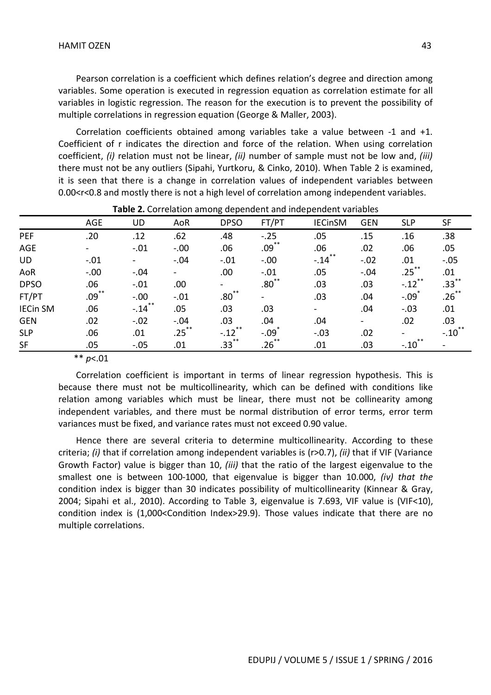Pearson correlation is a coefficient which defines relation's degree and direction among variables. Some operation is executed in regression equation as correlation estimate for all variables in logistic regression. The reason for the execution is to prevent the possibility of multiple correlations in regression equation (George & Maller, 2003).

Correlation coefficients obtained among variables take a value between -1 and +1. Coefficient of r indicates the direction and force of the relation. When using correlation coefficient, *(i)* relation must not be linear, *(ii)* number of sample must not be low and, *(iii)*  there must not be any outliers (Sipahi, Yurtkoru, & Cinko, 2010). When Table 2 is examined, it is seen that there is a change in correlation values of independent variables between 0.00<r<0.8 and mostly there is not a high level of correlation among independent variables.

|                 | <b>AGE</b> | UD                                          | AoR      | <b>DPSO</b>          | FT/PT                    | <b>IECinSM</b>                              | <b>GEN</b>               | <b>SLP</b>           | <b>SF</b>           |
|-----------------|------------|---------------------------------------------|----------|----------------------|--------------------------|---------------------------------------------|--------------------------|----------------------|---------------------|
| PEF             | .20        | .12                                         | .62      | .48                  | $-.25$                   | .05                                         | .15                      | .16                  | .38                 |
| <b>AGE</b>      |            | $-.01$                                      | $-.00$   | .06                  | $.09^{**}$               | .06                                         | .02                      | .06                  | .05                 |
| <b>UD</b>       | $-.01$     |                                             | $-.04$   | $-.01$               | $-.00$                   | $-.14$ <sup><math>\overline{)}</math></sup> | $-.02$                   | .01                  | $-.05$              |
| AoR             | $-.00$     | $-.04$                                      | $\sim$   | .00                  | $-.01$                   | .05                                         | $-.04$                   | .25 <sup>2</sup>     | .01                 |
| <b>DPSO</b>     | .06        | $-.01$                                      | .00      | $\blacksquare$       | $.80^{\degree}$          | .03                                         | .03                      | $-.12$ <sup>**</sup> | $.33***$            |
| FT/PT           | $.09$ **   | $-.00$                                      | $-.01$   | .80 <sup>°</sup>     | $\overline{\phantom{a}}$ | .03                                         | .04                      | $-.09$               | $.26***$            |
| <b>IECin SM</b> | .06        | $-.14$ <sup><math>\overline{)}</math></sup> | .05      | .03                  | .03                      |                                             | .04                      | $-.03$               | .01                 |
| <b>GEN</b>      | .02        | $-.02$                                      | $-.04$   | .03                  | .04                      | .04                                         | $\overline{\phantom{a}}$ | .02                  | .03                 |
| <b>SLP</b>      | .06        | .01                                         | $.25***$ | $-.12$ <sup>**</sup> | $-.09$                   | $-.03$                                      | .02                      |                      | $-.10$ <sup>*</sup> |
| <b>SF</b>       | .05        | $-.05$                                      | .01      | $.33***$             | $.26$ ້                  | .01                                         | .03                      | $-.10$               |                     |
|                 |            |                                             |          |                      |                          |                                             |                          |                      |                     |

#### **Table 2.** Correlation among dependent and independent variables

\*\* *p*<.01

Correlation coefficient is important in terms of linear regression hypothesis. This is because there must not be multicollinearity, which can be defined with conditions like relation among variables which must be linear, there must not be collinearity among independent variables, and there must be normal distribution of error terms, error term variances must be fixed, and variance rates must not exceed 0.90 value.

Hence there are several criteria to determine multicollinearity. According to these criteria; *(i)* that if correlation among independent variables is (r>0.7), *(ii)* that if VIF (Variance Growth Factor) value is bigger than 10, *(iii)* that the ratio of the largest eigenvalue to the smallest one is between 100-1000, that eigenvalue is bigger than 10.000, *(iv) that the*  condition index is bigger than 30 indicates possibility of multicollinearity (Kinnear & Gray, 2004; Sipahi et al., 2010). According to Table 3, eigenvalue is 7.693, VIF value is (VIF<10), condition index is (1,000<Condition Index>29.9). Those values indicate that there are no multiple correlations.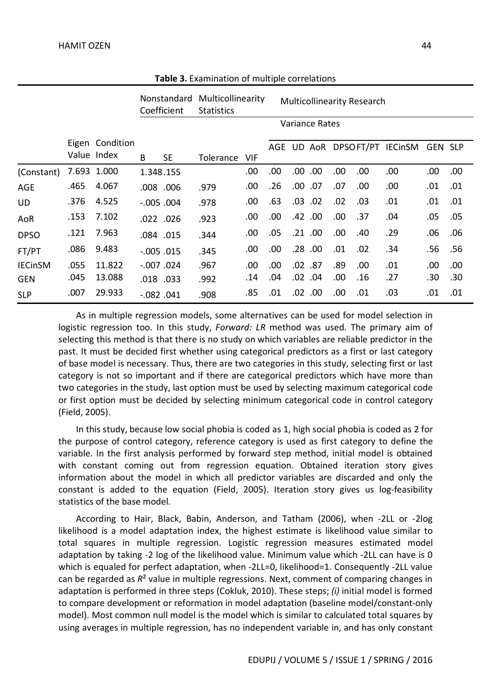|                |      |                                |               | Nonstandard<br>Coefficient | Multicollinearity<br><b>Statistics</b> |            | <b>Multicollinearity Research</b> |     |                |      |      |                       |         |      |
|----------------|------|--------------------------------|---------------|----------------------------|----------------------------------------|------------|-----------------------------------|-----|----------------|------|------|-----------------------|---------|------|
|                |      |                                |               |                            |                                        |            |                                   |     | Variance Rates |      |      |                       |         |      |
|                |      | Eigen Condition<br>Value Index | B             | <b>SE</b>                  | Tolerance                              | <b>VIF</b> | AGE                               | UD. |                |      |      | AoR DPSOFT/PT IECinSM | GEN SLP |      |
| (Constant)     |      | 7.693 1.000                    | 1.348.155     |                            |                                        | .00        | .00                               | .00 | .00.           | .00. | .00  | .00.                  | .00     | .00. |
| <b>AGE</b>     | .465 | 4.067                          |               | .008.006                   | .979                                   | .00        | .26                               | .00 | .07            | .07  | .00  | .00                   | .01     | .01  |
| <b>UD</b>      | .376 | 4.525                          | $-.005$ .004  |                            | .978                                   | .00        | .63                               | .03 | .02            | .02  | .03  | .01                   | .01     | .01  |
| AoR            | .153 | 7.102                          |               | .022 .026                  | .923                                   | .00        | .00.                              |     | .42 .00        | .00. | .37  | .04                   | .05     | .05  |
| <b>DPSO</b>    | .121 | 7.963                          |               | .084.015                   | .344                                   | .00        | .05                               |     | .21 .00        | .00. | .40  | .29                   | .06     | .06  |
| FT/PT          | .086 | 9.483                          | $-0.005$ .015 |                            | .345                                   | .00        | .00                               | .28 | .00.           | .01  | .02  | .34                   | .56     | .56  |
| <b>IECinSM</b> | .055 | 11.822                         | $-.007$ .024  |                            | .967                                   | .00        | .00                               | .02 | .87            | .89  | .00. | .01                   | .00     | .00. |
| <b>GEN</b>     | .045 | 13.088                         |               | .018.033                   | .992                                   | .14        | .04                               | .02 | .04            | .00. | .16  | .27                   | .30     | .30  |
| <b>SLP</b>     | .007 | 29.933                         | $-.082$ .041  |                            | .908                                   | .85        | .01                               | .02 | .00.           | .00  | .01  | .03                   | .01     | .01  |

**Table 3.** Examination of multiple correlations

As in multiple regression models, some alternatives can be used for model selection in logistic regression too. In this study, *Forward: LR* method was used. The primary aim of selecting this method is that there is no study on which variables are reliable predictor in the past. It must be decided first whether using categorical predictors as a first or last category of base model is necessary. Thus, there are two categories in this study, selecting first or last category is not so important and if there are categorical predictors which have more than two categories in the study, last option must be used by selecting maximum categorical code or first option must be decided by selecting minimum categorical code in control category (Field, 2005).

In this study, because low social phobia is coded as 1, high social phobia is coded as 2 for the purpose of control category, reference category is used as first category to define the variable. In the first analysis performed by forward step method, initial model is obtained with constant coming out from regression equation. Obtained iteration story gives information about the model in which all predictor variables are discarded and only the constant is added to the equation (Field, 2005). Iteration story gives us log-feasibility statistics of the base model.

According to Hair, Black, Babin, Anderson, and Tatham (2006), when -2LL or -2log likelihood is a model adaptation index, the highest estimate is likelihood value similar to total squares in multiple regression. Logistic regression measures estimated model adaptation by taking -2 log of the likelihood value. Minimum value which -2LL can have is 0 which is equaled for perfect adaptation, when -2LL=0, likelihood=1. Consequently -2LL value can be regarded as *R*² value in multiple regressions. Next, comment of comparing changes in adaptation is performed in three steps (Cokluk, 2010). These steps; *(i)* initial model is formed to compare development or reformation in model adaptation (baseline model/constant-only model). Most common null model is the model which is similar to calculated total squares by using averages in multiple regression, has no independent variable in, and has only constant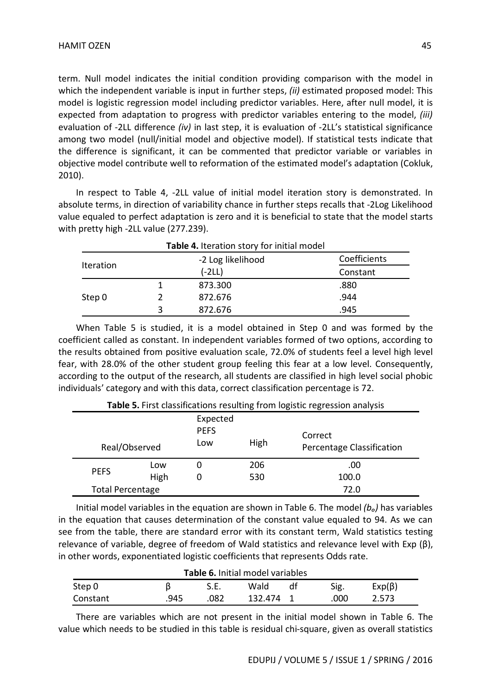term. Null model indicates the initial condition providing comparison with the model in which the independent variable is input in further steps, *(ii)* estimated proposed model: This model is logistic regression model including predictor variables. Here, after null model, it is expected from adaptation to progress with predictor variables entering to the model, *(iii)* evaluation of -2LL difference *(iv)* in last step, it is evaluation of -2LL's statistical significance among two model (null/initial model and objective model). If statistical tests indicate that the difference is significant, it can be commented that predictor variable or variables in objective model contribute well to reformation of the estimated model's adaptation (Cokluk, 2010).

In respect to Table 4, -2LL value of initial model iteration story is demonstrated. In absolute terms, in direction of variability chance in further steps recalls that -2Log Likelihood value equaled to perfect adaptation is zero and it is beneficial to state that the model starts with pretty high -2LL value (277.239).

| Table 4. Iteration story for initial model |  |                   |              |  |  |  |
|--------------------------------------------|--|-------------------|--------------|--|--|--|
|                                            |  | -2 Log likelihood | Coefficients |  |  |  |
| Iteration                                  |  | $(-2LL)$          | Constant     |  |  |  |
|                                            |  | 873.300           | .880         |  |  |  |
| Step 0                                     |  | 872.676           | .944         |  |  |  |
|                                            |  | 872.676           | .945         |  |  |  |

When Table 5 is studied, it is a model obtained in Step 0 and was formed by the coefficient called as constant. In independent variables formed of two options, according to the results obtained from positive evaluation scale, 72.0% of students feel a level high level fear, with 28.0% of the other student group feeling this fear at a low level. Consequently, according to the output of the research, all students are classified in high level social phobic individuals' category and with this data, correct classification percentage is 72.

|                         | <b>Fable 5.</b> First classifications resulting from logistic regression analysis |                                |            |                                      |  |  |  |  |
|-------------------------|-----------------------------------------------------------------------------------|--------------------------------|------------|--------------------------------------|--|--|--|--|
| Real/Observed           |                                                                                   | Expected<br><b>PEFS</b><br>Low | High       | Correct<br>Percentage Classification |  |  |  |  |
| <b>PEFS</b>             | Low<br>High                                                                       | U<br>0                         | 206<br>530 | .00<br>100.0                         |  |  |  |  |
| <b>Total Percentage</b> |                                                                                   |                                |            | 72.0                                 |  |  |  |  |

**Table 5.** First classifications resulting from logistic regression analysis

Initial model variables in the equation are shown in Table 6. The model *(bₒ)* has variables in the equation that causes determination of the constant value equaled to 94. As we can see from the table, there are standard error with its constant term, Wald statistics testing relevance of variable, degree of freedom of Wald statistics and relevance level with Exp (β), in other words, exponentiated logistic coefficients that represents Odds rate.

| <b>Table 6.</b> Initial model variables |      |      |           |    |      |              |
|-----------------------------------------|------|------|-----------|----|------|--------------|
| Step 0                                  |      | S.E. | Wald      | dt | Sig. | $Exp(\beta)$ |
| Constant                                | .945 | .082 | 132.474 1 |    | .000 | 2.573        |

There are variables which are not present in the initial model shown in Table 6. The value which needs to be studied in this table is residual chi-square, given as overall statistics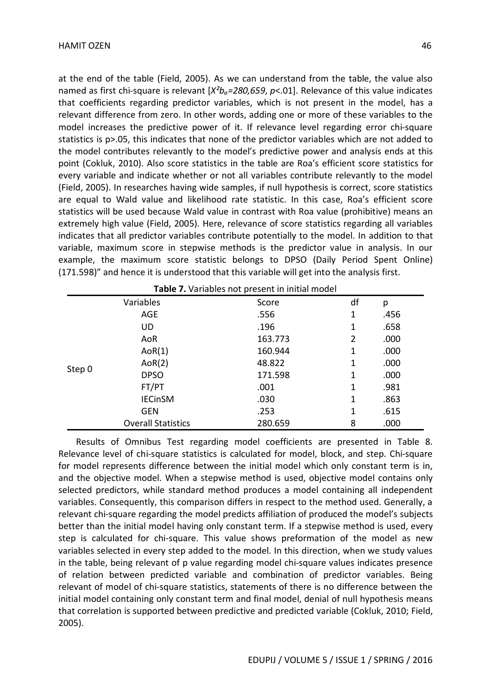at the end of the table (Field, 2005). As we can understand from the table, the value also named as first chi-square is relevant  $[X^2b_o=280,659, p<0.01]$ . Relevance of this value indicates that coefficients regarding predictor variables, which is not present in the model, has a relevant difference from zero. In other words, adding one or more of these variables to the model increases the predictive power of it. If relevance level regarding error chi-square statistics is p>.05, this indicates that none of the predictor variables which are not added to the model contributes relevantly to the model's predictive power and analysis ends at this point (Cokluk, 2010). Also score statistics in the table are Roa's efficient score statistics for every variable and indicate whether or not all variables contribute relevantly to the model (Field, 2005). In researches having wide samples, if null hypothesis is correct, score statistics are equal to Wald value and likelihood rate statistic. In this case, Roa's efficient score statistics will be used because Wald value in contrast with Roa value (prohibitive) means an extremely high value (Field, 2005). Here, relevance of score statistics regarding all variables indicates that all predictor variables contribute potentially to the model. In addition to that variable, maximum score in stepwise methods is the predictor value in analysis. In our example, the maximum score statistic belongs to DPSO (Daily Period Spent Online) (171.598)" and hence it is understood that this variable will get into the analysis first.

|        | Table 7. Variables not present in initial model |         |    |      |  |  |  |
|--------|-------------------------------------------------|---------|----|------|--|--|--|
|        | Variables                                       | Score   | df | р    |  |  |  |
|        | AGE                                             | .556    | 1  | .456 |  |  |  |
|        | UD                                              | .196    | 1  | .658 |  |  |  |
|        | AoR                                             | 163.773 | 2  | .000 |  |  |  |
|        | AoR(1)                                          | 160.944 | 1  | .000 |  |  |  |
| Step 0 | AoR(2)                                          | 48.822  | 1  | .000 |  |  |  |
|        | <b>DPSO</b>                                     | 171.598 | 1  | .000 |  |  |  |
|        | FT/PT                                           | .001    | 1  | .981 |  |  |  |
|        | <b>IECinSM</b>                                  | .030    | 1  | .863 |  |  |  |
|        | <b>GEN</b>                                      | .253    | 1  | .615 |  |  |  |
|        | <b>Overall Statistics</b>                       | 280.659 | 8  | .000 |  |  |  |

Results of Omnibus Test regarding model coefficients are presented in Table 8. Relevance level of chi-square statistics is calculated for model, block, and step. Chi-square for model represents difference between the initial model which only constant term is in, and the objective model. When a stepwise method is used, objective model contains only selected predictors, while standard method produces a model containing all independent variables. Consequently, this comparison differs in respect to the method used. Generally, a relevant chi-square regarding the model predicts affiliation of produced the model's subjects better than the initial model having only constant term. If a stepwise method is used, every step is calculated for chi-square. This value shows preformation of the model as new variables selected in every step added to the model. In this direction, when we study values in the table, being relevant of p value regarding model chi-square values indicates presence of relation between predicted variable and combination of predictor variables. Being relevant of model of chi-square statistics, statements of there is no difference between the initial model containing only constant term and final model, denial of null hypothesis means that correlation is supported between predictive and predicted variable (Cokluk, 2010; Field, 2005).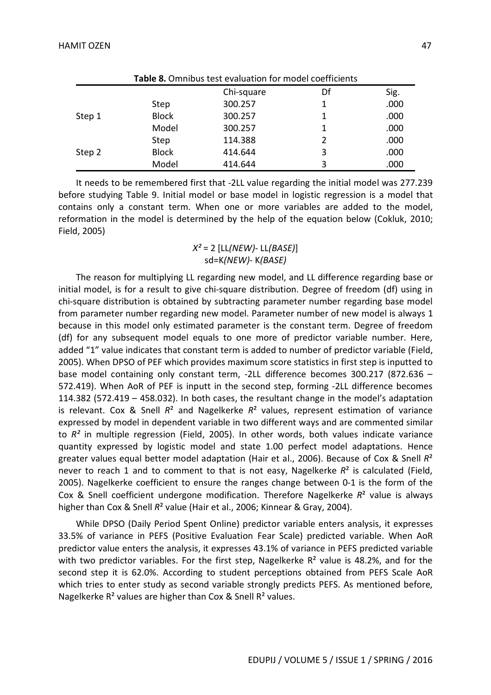|        | Table 8. Omnibus test evaluation for model coefficients |            |               |      |  |  |
|--------|---------------------------------------------------------|------------|---------------|------|--|--|
|        |                                                         | Chi-square | Df            | Sig. |  |  |
|        | Step                                                    | 300.257    | 1             | .000 |  |  |
| Step 1 | <b>Block</b>                                            | 300.257    | 1             | .000 |  |  |
|        | Model                                                   | 300.257    |               | .000 |  |  |
|        | Step                                                    | 114.388    | $\mathfrak z$ | .000 |  |  |
| Step 2 | <b>Block</b>                                            | 414.644    | 3             | .000 |  |  |
|        | Model                                                   | 414.644    | 3             | .000 |  |  |

It needs to be remembered first that -2LL value regarding the initial model was 277.239 before studying Table 9. Initial model or base model in logistic regression is a model that contains only a constant term. When one or more variables are added to the model, reformation in the model is determined by the help of the equation below (Cokluk, 2010; Field, 2005)

# *X²* = 2 [LL*(NEW)*- LL*(BASE)*] sd=K*(NEW)*- K*(BASE)*

The reason for multiplying LL regarding new model, and LL difference regarding base or initial model, is for a result to give chi-square distribution. Degree of freedom (df) using in chi-square distribution is obtained by subtracting parameter number regarding base model from parameter number regarding new model. Parameter number of new model is always 1 because in this model only estimated parameter is the constant term. Degree of freedom (df) for any subsequent model equals to one more of predictor variable number. Here, added "1" value indicates that constant term is added to number of predictor variable (Field, 2005). When DPSO of PEF which provides maximum score statistics in first step is inputted to base model containing only constant term, -2LL difference becomes 300.217 (872.636 – 572.419). When AoR of PEF is inputt in the second step, forming -2LL difference becomes 114.382 (572.419 – 458.032). In both cases, the resultant change in the model's adaptation is relevant. Cox & Snell *R*² and Nagelkerke *R*² values, represent estimation of variance expressed by model in dependent variable in two different ways and are commented similar to *R²* in multiple regression (Field, 2005). In other words, both values indicate variance quantity expressed by logistic model and state 1.00 perfect model adaptations. Hence greater values equal better model adaptation (Hair et al., 2006). Because of Cox & Snell *R*² never to reach 1 and to comment to that is not easy, Nagelkerke *R*² is calculated (Field, 2005). Nagelkerke coefficient to ensure the ranges change between 0-1 is the form of the Cox & Snell coefficient undergone modification. Therefore Nagelkerke *R*² value is always higher than Cox & Snell  $R^2$  value (Hair et al., 2006; Kinnear & Gray, 2004).

While DPSO (Daily Period Spent Online) predictor variable enters analysis, it expresses 33.5% of variance in PEFS (Positive Evaluation Fear Scale) predicted variable. When AoR predictor value enters the analysis, it expresses 43.1% of variance in PEFS predicted variable with two predictor variables. For the first step, Nagelkerke  $R<sup>2</sup>$  value is 48.2%, and for the second step it is 62.0%. According to student perceptions obtained from PEFS Scale AoR which tries to enter study as second variable strongly predicts PEFS. As mentioned before, Nagelkerke  $R^2$  values are higher than Cox & Snell  $R^2$  values.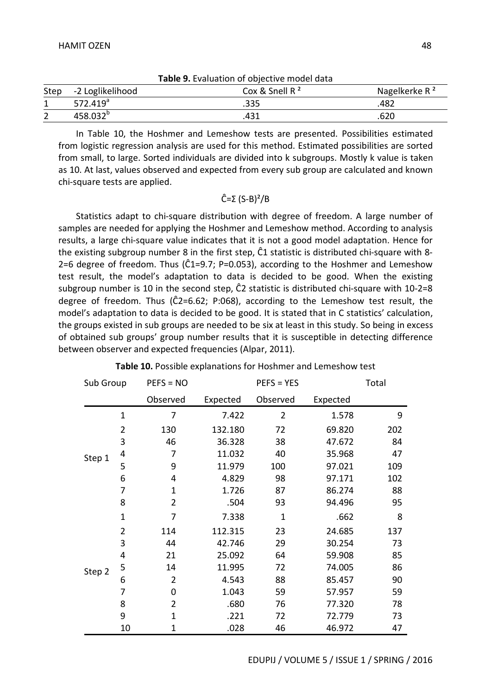|      |                      | <b>Table 9.</b> Evaluation of objective model data |                           |
|------|----------------------|----------------------------------------------------|---------------------------|
| Step | -2 Loglikelihood     | Cox & Snell $R^2$                                  | Nagelkerke R <sup>2</sup> |
|      | 572.419 $a$          | .335                                               | .482                      |
|      | 458.032 <sup>b</sup> | 431                                                | .620                      |

**Table 9.** Evaluation of objective model data

In Table 10, the Hoshmer and Lemeshow tests are presented. Possibilities estimated from logistic regression analysis are used for this method. Estimated possibilities are sorted from small, to large. Sorted individuals are divided into k subgroups. Mostly k value is taken as 10. At last, values observed and expected from every sub group are calculated and known chi-square tests are applied.

# Ĉ=Σ (S-B)²/B

Statistics adapt to chi-square distribution with degree of freedom. A large number of samples are needed for applying the Hoshmer and Lemeshow method. According to analysis results, a large chi-square value indicates that it is not a good model adaptation. Hence for the existing subgroup number 8 in the first step, Ĉ1 statistic is distributed chi-square with 8- 2=6 degree of freedom. Thus ( $\hat{C}1$ =9.7; P=0.053), according to the Hoshmer and Lemeshow test result, the model's adaptation to data is decided to be good. When the existing subgroup number is 10 in the second step, Ĉ2 statistic is distributed chi-square with 10-2=8 degree of freedom. Thus (Ĉ2=6.62; P:068), according to the Lemeshow test result, the model's adaptation to data is decided to be good. It is stated that in C statistics' calculation, the groups existed in sub groups are needed to be six at least in this study. So being in excess of obtained sub groups' group number results that it is susceptible in detecting difference between observer and expected frequencies (Alpar, 2011).

| Sub Group |                | $PEFS = NO$    |          | $PEFS = YES$   |          | Total |
|-----------|----------------|----------------|----------|----------------|----------|-------|
|           |                | Observed       | Expected | Observed       | Expected |       |
|           | $\mathbf{1}$   | 7              | 7.422    | $\overline{2}$ | 1.578    | 9     |
|           | $\overline{2}$ | 130            | 132.180  | 72             | 69.820   | 202   |
|           | 3              | 46             | 36.328   | 38             | 47.672   | 84    |
| Step 1    | 4              | 7              | 11.032   | 40             | 35.968   | 47    |
|           | 5              | 9              | 11.979   | 100            | 97.021   | 109   |
|           | 6              | 4              | 4.829    | 98             | 97.171   | 102   |
|           | 7              | $\mathbf{1}$   | 1.726    | 87             | 86.274   | 88    |
|           | 8              | 2              | .504     | 93             | 94.496   | 95    |
|           | $\mathbf{1}$   | 7              | 7.338    | 1              | .662     | 8     |
|           | $\overline{2}$ | 114            | 112.315  | 23             | 24.685   | 137   |
|           | 3              | 44             | 42.746   | 29             | 30.254   | 73    |
|           | 4              | 21             | 25.092   | 64             | 59.908   | 85    |
| Step 2    | 5              | 14             | 11.995   | 72             | 74.005   | 86    |
|           | 6              | $\overline{2}$ | 4.543    | 88             | 85.457   | 90    |
|           | 7              | 0              | 1.043    | 59             | 57.957   | 59    |
|           | 8              | $\overline{2}$ | .680     | 76             | 77.320   | 78    |
|           | 9              | $\mathbf{1}$   | .221     | 72             | 72.779   | 73    |
|           | 10             | 1              | .028     | 46             | 46.972   | 47    |

**Table 10.** Possible explanations for Hoshmer and Lemeshow test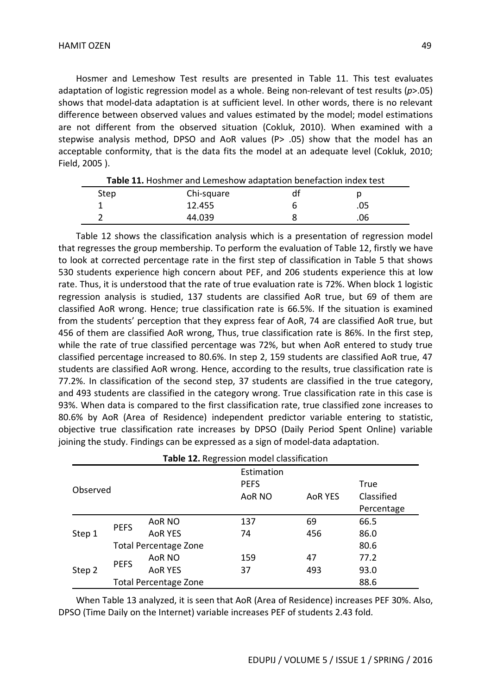Hosmer and Lemeshow Test results are presented in Table 11. This test evaluates adaptation of logistic regression model as a whole. Being non-relevant of test results (*p*>.05) shows that model-data adaptation is at sufficient level. In other words, there is no relevant difference between observed values and values estimated by the model; model estimations are not different from the observed situation (Cokluk, 2010). When examined with a stepwise analysis method, DPSO and AoR values (P> .05) show that the model has an acceptable conformity, that is the data fits the model at an adequate level (Cokluk, 2010; Field, 2005 ).

| Table 11. Hoshmer and Lemeshow adaptation benefaction index test |            |   |     |  |  |  |
|------------------------------------------------------------------|------------|---|-----|--|--|--|
| Step                                                             | Chi-square |   |     |  |  |  |
|                                                                  | 12.455     | n | .05 |  |  |  |
|                                                                  | 44.039     |   | .06 |  |  |  |

Table 12 shows the classification analysis which is a presentation of regression model that regresses the group membership. To perform the evaluation of Table 12, firstly we have to look at corrected percentage rate in the first step of classification in Table 5 that shows 530 students experience high concern about PEF, and 206 students experience this at low rate. Thus, it is understood that the rate of true evaluation rate is 72%. When block 1 logistic regression analysis is studied, 137 students are classified AoR true, but 69 of them are classified AoR wrong. Hence; true classification rate is 66.5%. If the situation is examined from the students' perception that they express fear of AoR, 74 are classified AoR true, but 456 of them are classified AoR wrong, Thus, true classification rate is 86%. In the first step, while the rate of true classified percentage was 72%, but when AoR entered to study true classified percentage increased to 80.6%. In step 2, 159 students are classified AoR true, 47 students are classified AoR wrong. Hence, according to the results, true classification rate is 77.2%. In classification of the second step, 37 students are classified in the true category, and 493 students are classified in the category wrong. True classification rate in this case is 93%. When data is compared to the first classification rate, true classified zone increases to 80.6% by AoR (Area of Residence) independent predictor variable entering to statistic, objective true classification rate increases by DPSO (Daily Period Spent Online) variable joining the study. Findings can be expressed as a sign of model-data adaptation.

|          | Table 12. Regression model classification |                              |             |                |            |  |  |  |  |
|----------|-------------------------------------------|------------------------------|-------------|----------------|------------|--|--|--|--|
|          |                                           |                              | Estimation  |                |            |  |  |  |  |
| Observed |                                           |                              | <b>PEFS</b> |                | True       |  |  |  |  |
|          |                                           |                              | AoR NO      | <b>AOR YES</b> | Classified |  |  |  |  |
|          |                                           |                              |             |                | Percentage |  |  |  |  |
|          | <b>PEFS</b>                               | AoR NO                       | 137         | 69             | 66.5       |  |  |  |  |
| Step 1   |                                           | <b>AOR YES</b>               | 74          | 456            | 86.0       |  |  |  |  |
|          |                                           | <b>Total Percentage Zone</b> |             |                | 80.6       |  |  |  |  |
|          |                                           | AoR NO                       | 159         | 47             | 77.2       |  |  |  |  |
| Step 2   | <b>PEFS</b>                               | <b>AOR YES</b>               | 37          | 493            | 93.0       |  |  |  |  |
|          |                                           | <b>Total Percentage Zone</b> |             |                | 88.6       |  |  |  |  |

When Table 13 analyzed, it is seen that AoR (Area of Residence) increases PEF 30%. Also, DPSO (Time Daily on the Internet) variable increases PEF of students 2.43 fold.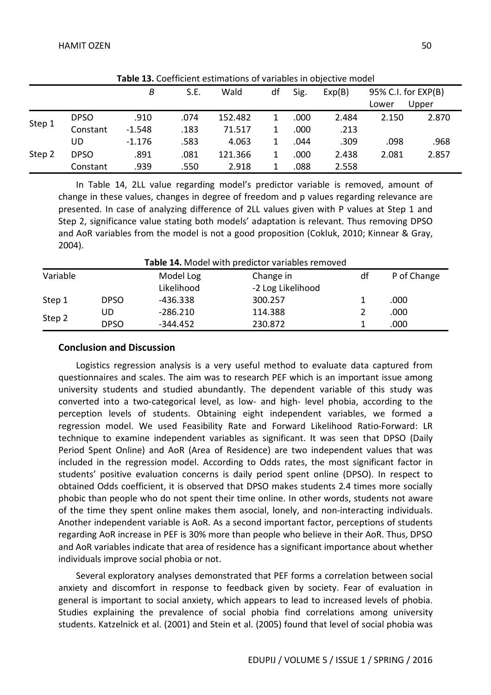| <b>Table 15.</b> Coefficient estimations of variables in objective model |             |          |      |         |    |      |        |                     |       |  |
|--------------------------------------------------------------------------|-------------|----------|------|---------|----|------|--------|---------------------|-------|--|
|                                                                          |             | B        | S.E. | Wald    | df | Sig. | Exp(B) | 95% C.I. for EXP(B) |       |  |
|                                                                          |             |          |      |         |    |      |        | Lower               | Upper |  |
| Step 1                                                                   | <b>DPSO</b> | .910     | .074 | 152.482 |    | .000 | 2.484  | 2.150               | 2.870 |  |
|                                                                          | Constant    | $-1.548$ | .183 | 71.517  |    | .000 | .213   |                     |       |  |
| Step 2                                                                   | UD          | $-1.176$ | .583 | 4.063   |    | .044 | .309   | .098                | .968  |  |
|                                                                          | <b>DPSO</b> | .891     | .081 | 121.366 |    | .000 | 2.438  | 2.081               | 2.857 |  |
|                                                                          | Constant    | .939     | .550 | 2.918   |    | .088 | 2.558  |                     |       |  |

**Table 13.** Coefficient estimations of variables in objective model

In Table 14, 2LL value regarding model's predictor variable is removed, amount of change in these values, changes in degree of freedom and p values regarding relevance are presented. In case of analyzing difference of 2LL values given with P values at Step 1 and Step 2, significance value stating both models' adaptation is relevant. Thus removing DPSO and AoR variables from the model is not a good proposition (Cokluk, 2010; Kinnear & Gray, 2004).

| <b>Table 14.</b> Model with predictor variables removed |             |            |                   |    |             |  |  |  |  |
|---------------------------------------------------------|-------------|------------|-------------------|----|-------------|--|--|--|--|
| Variable                                                |             | Model Log  | Change in         | df | P of Change |  |  |  |  |
|                                                         |             | Likelihood | -2 Log Likelihood |    |             |  |  |  |  |
| Step 1                                                  | <b>DPSO</b> | $-436.338$ | 300.257           |    | .000        |  |  |  |  |
| Step 2                                                  | UD          | $-286.210$ | 114.388           |    | .000        |  |  |  |  |
|                                                         | <b>DPSO</b> | $-344.452$ | 230.872           |    | .000        |  |  |  |  |

**Table 14.** Model with predictor variables removed

# **Conclusion and Discussion**

Logistics regression analysis is a very useful method to evaluate data captured from questionnaires and scales. The aim was to research PEF which is an important issue among university students and studied abundantly. The dependent variable of this study was converted into a two-categorical level, as low- and high- level phobia, according to the perception levels of students. Obtaining eight independent variables, we formed a regression model. We used Feasibility Rate and Forward Likelihood Ratio-Forward: LR technique to examine independent variables as significant. It was seen that DPSO (Daily Period Spent Online) and AoR (Area of Residence) are two independent values that was included in the regression model. According to Odds rates, the most significant factor in students' positive evaluation concerns is daily period spent online (DPSO). In respect to obtained Odds coefficient, it is observed that DPSO makes students 2.4 times more socially phobic than people who do not spent their time online. In other words, students not aware of the time they spent online makes them asocial, lonely, and non-interacting individuals. Another independent variable is AoR. As a second important factor, perceptions of students regarding AoR increase in PEF is 30% more than people who believe in their AoR. Thus, DPSO and AoR variables indicate that area of residence has a significant importance about whether individuals improve social phobia or not.

Several exploratory analyses demonstrated that PEF forms a correlation between social anxiety and discomfort in response to feedback given by society. Fear of evaluation in general is important to social anxiety, which appears to lead to increased levels of phobia. Studies explaining the prevalence of social phobia find correlations among university students. Katzelnick et al. (2001) and Stein et al. (2005) found that level of social phobia was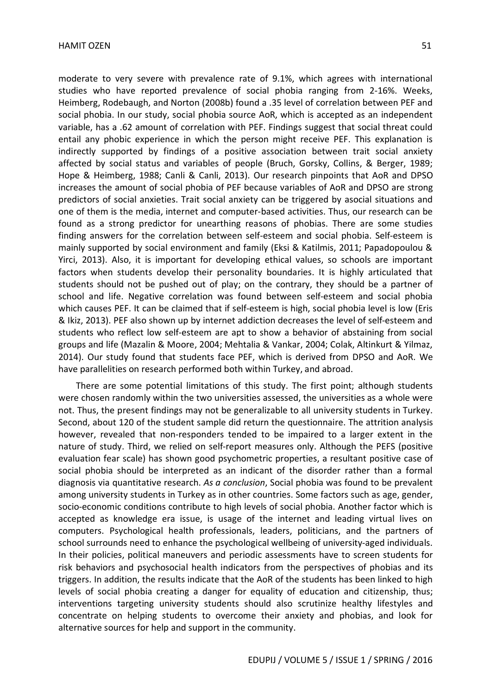moderate to very severe with prevalence rate of 9.1%, which agrees with international studies who have reported prevalence of social phobia ranging from 2-16%. Weeks, Heimberg, Rodebaugh, and Norton (2008b) found a .35 level of correlation between PEF and social phobia. In our study, social phobia source AoR, which is accepted as an independent variable, has a .62 amount of correlation with PEF. Findings suggest that social threat could entail any phobic experience in which the person might receive PEF. This explanation is indirectly supported by findings of a positive association between trait social anxiety affected by social status and variables of people (Bruch, Gorsky, Collins, & Berger, 1989; Hope & Heimberg, 1988; Canli & Canli, 2013). Our research pinpoints that AoR and DPSO increases the amount of social phobia of PEF because variables of AoR and DPSO are strong predictors of social anxieties. Trait social anxiety can be triggered by asocial situations and one of them is the media, internet and computer-based activities. Thus, our research can be found as a strong predictor for unearthing reasons of phobias. There are some studies finding answers for the correlation between self-esteem and social phobia. Self-esteem is mainly supported by social environment and family (Eksi & Katilmis, 2011; Papadopoulou & Yirci, 2013). Also, it is important for developing ethical values, so schools are important factors when students develop their personality boundaries. It is highly articulated that students should not be pushed out of play; on the contrary, they should be a partner of school and life. Negative correlation was found between self-esteem and social phobia which causes PEF. It can be claimed that if self-esteem is high, social phobia level is low (Eris & Ikiz, 2013). PEF also shown up by internet addiction decreases the level of self-esteem and students who reflect low self-esteem are apt to show a behavior of abstaining from social groups and life (Mazalin & Moore, 2004; Mehtalia & Vankar, 2004; Colak, Altinkurt & Yilmaz, 2014). Our study found that students face PEF, which is derived from DPSO and AoR. We have parallelities on research performed both within Turkey, and abroad.

There are some potential limitations of this study. The first point; although students were chosen randomly within the two universities assessed, the universities as a whole were not. Thus, the present findings may not be generalizable to all university students in Turkey. Second, about 120 of the student sample did return the questionnaire. The attrition analysis however, revealed that non-responders tended to be impaired to a larger extent in the nature of study. Third, we relied on self-report measures only. Although the PEFS (positive evaluation fear scale) has shown good psychometric properties, a resultant positive case of social phobia should be interpreted as an indicant of the disorder rather than a formal diagnosis via quantitative research. *As a conclusion*, Social phobia was found to be prevalent among university students in Turkey as in other countries. Some factors such as age, gender, socio-economic conditions contribute to high levels of social phobia. Another factor which is accepted as knowledge era issue, is usage of the internet and leading virtual lives on computers. Psychological health professionals, leaders, politicians, and the partners of school surrounds need to enhance the psychological wellbeing of university-aged individuals. In their policies, political maneuvers and periodic assessments have to screen students for risk behaviors and psychosocial health indicators from the perspectives of phobias and its triggers. In addition, the results indicate that the AoR of the students has been linked to high levels of social phobia creating a danger for equality of education and citizenship, thus; interventions targeting university students should also scrutinize healthy lifestyles and concentrate on helping students to overcome their anxiety and phobias, and look for alternative sources for help and support in the community.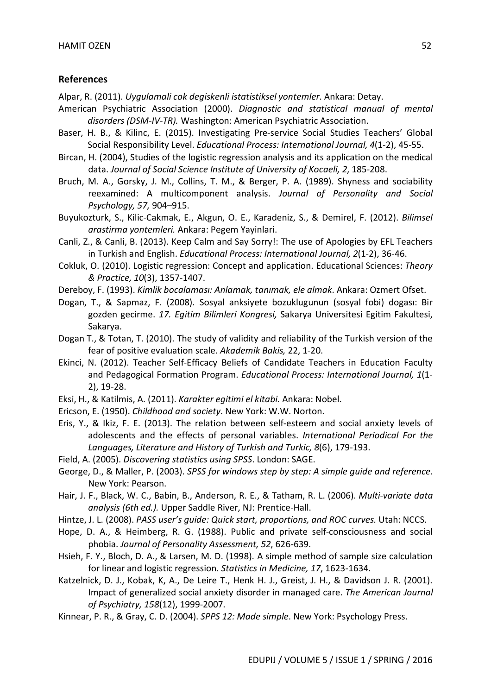### **References**

Alpar, R. (2011). *Uygulamali cok degiskenli istatistiksel yontemler*. Ankara: Detay.

- American Psychiatric Association (2000). *Diagnostic and statistical manual of mental disorders (DSM-IV-TR).* Washington: American Psychiatric Association.
- Baser, H. B., & Kilinc, E. (2015). Investigating Pre-service Social Studies Teachers' Global Social Responsibility Level. *Educational Process: International Journal, 4*(1-2), 45-55.
- Bircan, H. (2004), Studies of the logistic regression analysis and its application on the medical data. *Journal of Social Science Institute of University of Kocaeli, 2*, 185-208.
- Bruch, M. A., Gorsky, J. M., Collins, T. M., & Berger, P. A. (1989). Shyness and sociability reexamined: A multicomponent analysis. *Journal of Personality and Social Psychology, 57,* 904–915.
- Buyukozturk, S., Kilic-Cakmak, E., Akgun, O. E., Karadeniz, S., & Demirel, F. (2012). *Bilimsel arastirma yontemleri.* Ankara: Pegem Yayinlari.
- Canli, Z., & Canli, B. (2013). Keep Calm and Say Sorry!: The use of Apologies by EFL Teachers in Turkish and English. *Educational Process: International Journal, 2*(1-2), 36-46.
- Cokluk, O. (2010). Logistic regression: Concept and application. Educational Sciences: *Theory & Practice, 10*(3), 1357-1407.
- Dereboy, F. (1993). *Kimlik bocalaması: Anlamak, tanımak, ele almak*. Ankara: Ozmert Ofset.
- Dogan, T., & Sapmaz, F. (2008). Sosyal anksiyete bozuklugunun (sosyal fobi) dogası: Bir gozden gecirme. *17. Egitim Bilimleri Kongresi,* Sakarya Universitesi Egitim Fakultesi, Sakarya.
- Dogan T., & Totan, T. (2010). The study of validity and reliability of the Turkish version of the fear of positive evaluation scale. *Akademik Bakis,* 22, 1-20.
- Ekinci, N. (2012). Teacher Self-Efficacy Beliefs of Candidate Teachers in Education Faculty and Pedagogical Formation Program. *Educational Process: International Journal, 1*(1- 2), 19-28.
- Eksi, H., & Katilmis, A. (2011). *Karakter egitimi el kitabi.* Ankara: Nobel.
- Ericson, E. (1950). *Childhood and society*. New York: W.W. Norton.
- Eris, Y., & Ikiz, F. E. (2013). The relation between self-esteem and social anxiety levels of adolescents and the effects of personal variables. *International Periodical For the Languages, Literature and History of Turkish and Turkic, 8*(6), 179-193.
- Field, A. (2005). *Discovering statistics using SPSS*. London: SAGE.
- George, D., & Maller, P. (2003). *SPSS for windows step by step: A simple guide and reference*. New York: Pearson.
- Hair, J. F., Black, W. C., Babin, B., Anderson, R. E., & Tatham, R. L. (2006). *Multi-variate data analysis (6th ed.).* Upper Saddle River, NJ: Prentice-Hall.
- Hintze, J. L. (2008). *PASS user's guide: Quick start, proportions, and ROC curves.* Utah: NCCS.
- Hope, D. A., & Heimberg, R. G. (1988). Public and private self-consciousness and social phobia. *Journal of Personality Assessment, 52*, 626-639.
- Hsieh, F. Y., Bloch, D. A., & Larsen, M. D. (1998). A simple method of sample size calculation for linear and logistic regression. *Statistics in Medicine, 17*, 1623-1634.
- Katzelnick, D. J., Kobak, K, A., De Leire T., Henk H. J., Greist, J. H., & Davidson J. R. (2001). Impact of generalized social anxiety disorder in managed care. *The American Journal of Psychiatry, 158*(12), 1999-2007.
- Kinnear, P. R., & Gray, C. D. (2004). *SPPS 12: Made simple*. New York: Psychology Press.